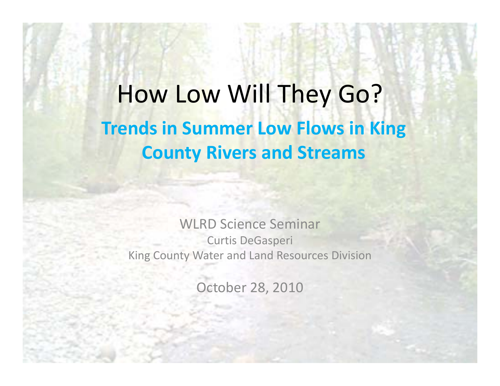How Low Will They Go? **Trends in Summer Low Flows in King County Rivers and Streams**

WLRD Science Seminar Curtis DeGasperi King County Water and Land Resources Division

October 28, 2010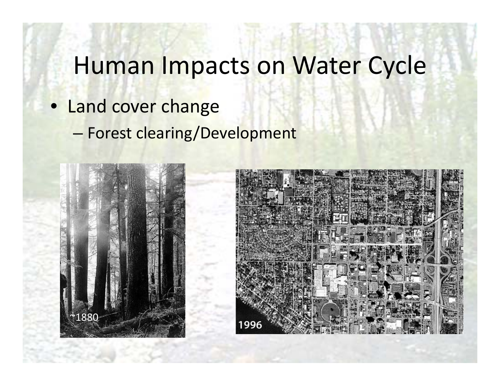# Human Impacts on Water Cycle

- Land cover change
	- –Forest clearing/Development



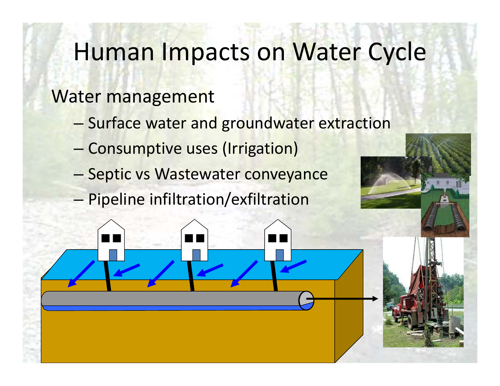# **Human Impacts on Water Cycle**

### **Water management**

- Surface water and groundwater extraction
- Consumptive uses (Irrigation)
- Septic vs Wastewater conveyance
- Pipeline infiltration/exfiltration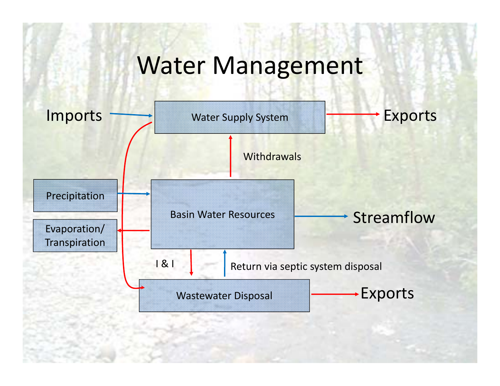# Water Management

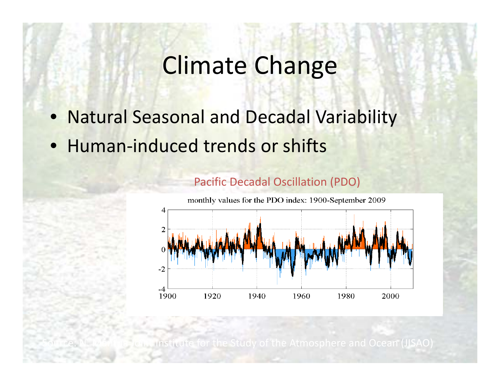# Climate Change

- $\bullet$ Natural Seasonal and Decadal Variability
- Human-induced trends or shifts

Source:

N. Mantua



Pacific Decadal Oscillation (PDO)

Joint Institute for the Study of the Atmosphere and Ocean (JISAO)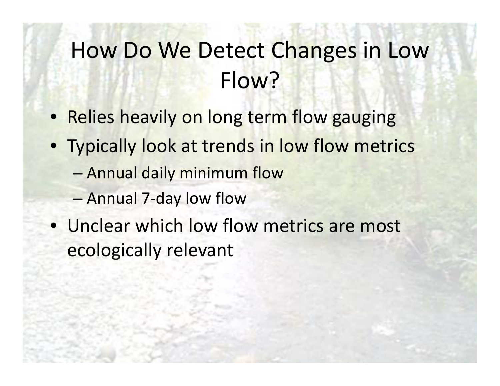# How Do We Detect Changes in Low Flow?

- Relies heavily on long term flow gauging
- Typically look at trends in low flow metrics
	- Annual daily minimum flow
	- –Annual 7‐day low flow
- Unclear which low flow metrics are most ecologically relevant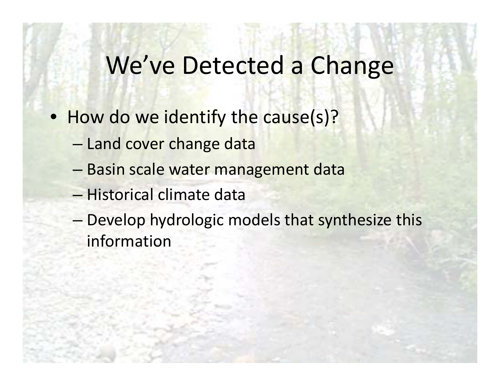# We've Detected a Change

- How do we identify the cause(s)?
	- Land cover change data
	- Basin scale water management data
	- Historical climate data
	- Develop hydrologic models that synthesize this information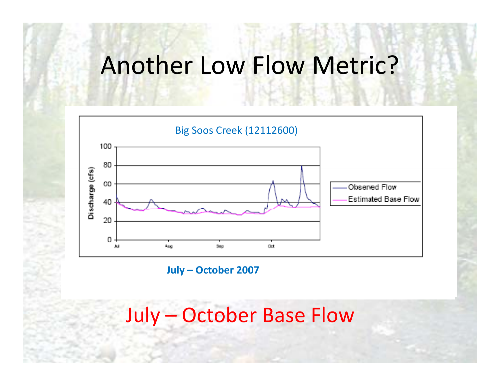## Another Low Flow Metric?



**July – October 2007**

## July – October Base Flow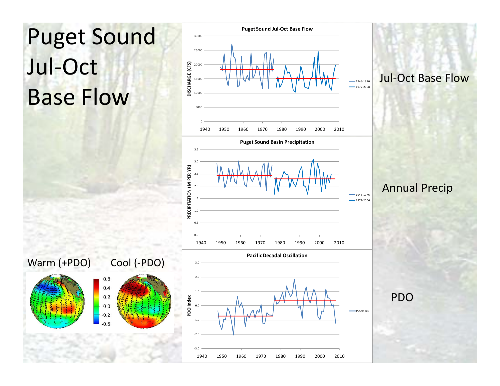

#### Jul‐Oct Base Flow

 $-1948-1976$  $-1977-2008$ 

 $-1948-1976$ 1977‐2006

1940 1950 1960 1970 1980 1990 2000 2010

#### Annual Precip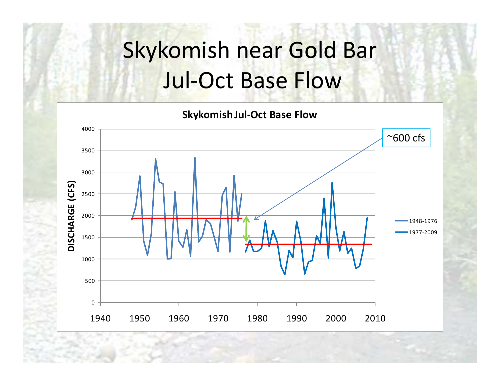# Skykomish near Gold Bar **Jul-Oct Base Flow**

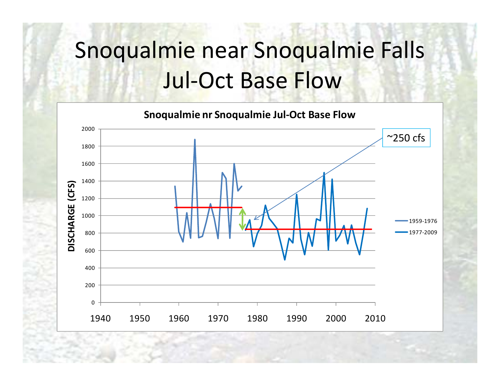### Snoqualmie near Snoqualmie Falls ll Jul‐Oct Base Flow

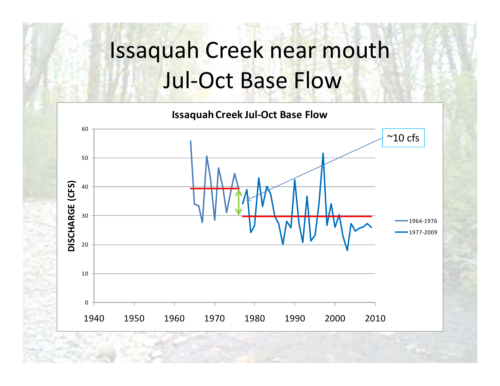### Issaquah Creek near mouth ll Jul‐Oct Base Flow

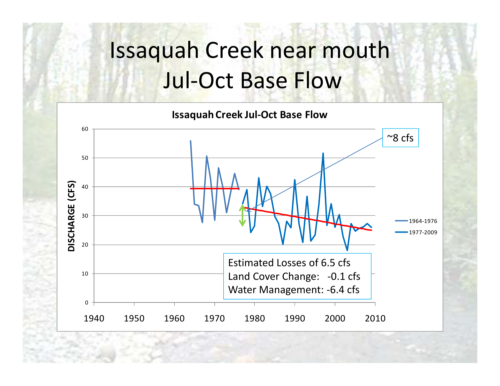### Issaquah Creek near mouth ll Jul‐Oct Base Flow

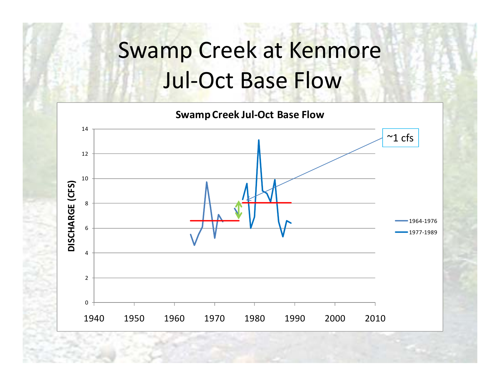### Swamp Creek at Kenmore ll Jul‐Oct Base Flow

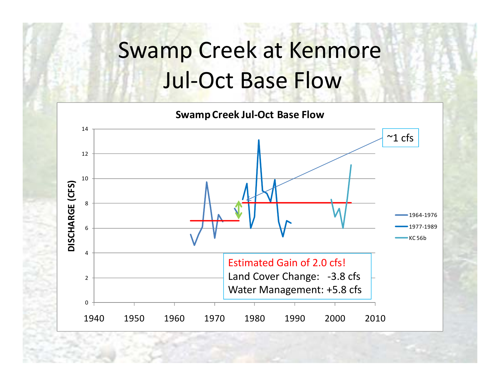### Swamp Creek at Kenmore ll Jul‐Oct Base Flow

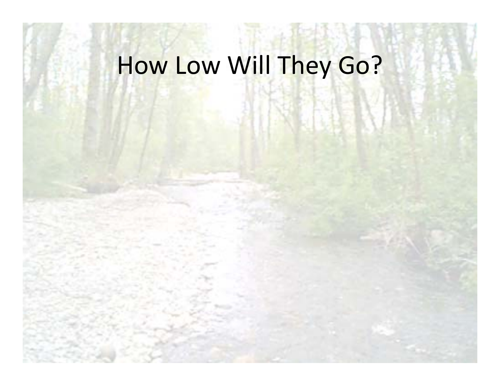# How Low Will They Go?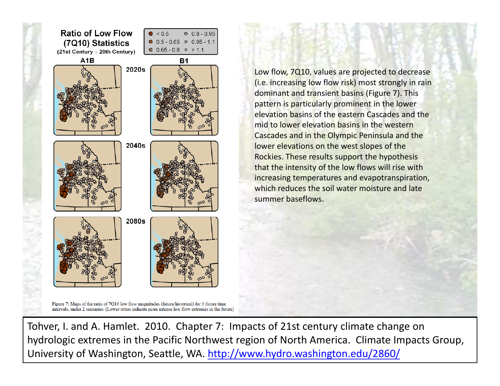

Low flow, 7Q10, values are projected to decrease (i.e. increasing low flow risk) most strongly in rain dominant and transient basins (Figure 7). This pattern is particularly prominent in the lower elevation basins of the eastern Cascades and the mid to lower elevation basins in the western Cascades and in the Olympic Peninsula and the lower elevations on the west slopes of the Rockies. These results support the hypothesis that the intensity of the low flows will rise with increasing temperatures and evapotranspiration, which reduces the soil water moisture and late summer baseflows.

Figure 7: Maps of the ratio of 7Q10 low flow magnitudes (future/historical) for 3 future time intervals, under 2 scenarios. (Lower ratios indicate more intense low flow extremes in the future)

Tohver, I. and A. Hamlet. 2010. Chapter 7: Impacts of 21st century climate change on hydrologic extremes in the Pacific Northwest region of North America. Climate Impacts Group, University of Washington, Seattle, WA. http://www.hydro.washington.edu/2860/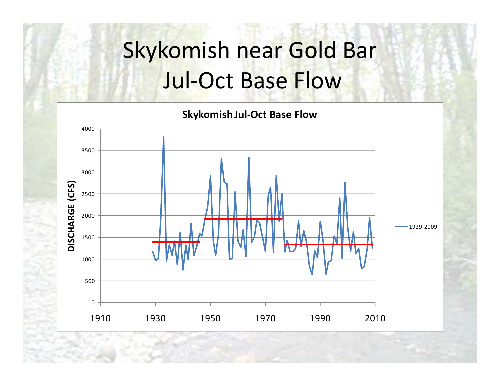# Skykomish near Gold Bar Jul‐Oct Base Flow

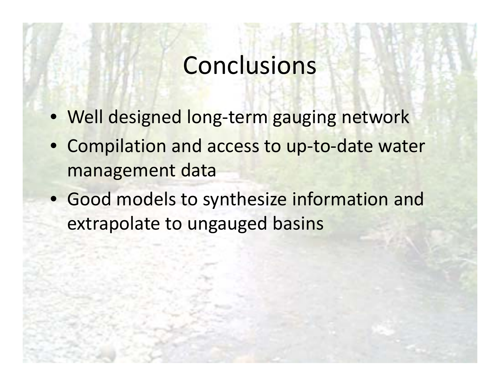# **Conclusions**

- Well designed long‐term gauging network
- Compilation and access to up-to-date water management data
- Good models to synthesize information and extrapolate to ungauged basins